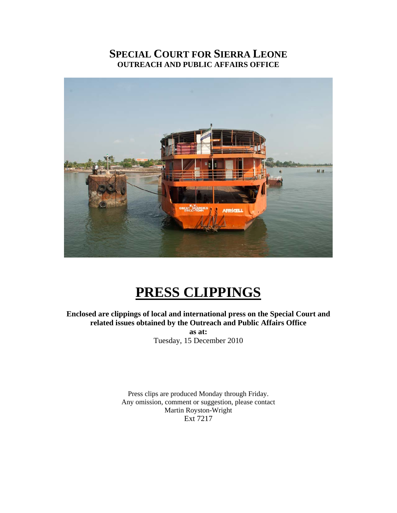## **SPECIAL COURT FOR SIERRA LEONE OUTREACH AND PUBLIC AFFAIRS OFFICE**



# **PRESS CLIPPINGS**

**Enclosed are clippings of local and international press on the Special Court and related issues obtained by the Outreach and Public Affairs Office** 

**as at:**  Tuesday, 15 December 2010

Press clips are produced Monday through Friday. Any omission, comment or suggestion, please contact Martin Royston-Wright Ext 7217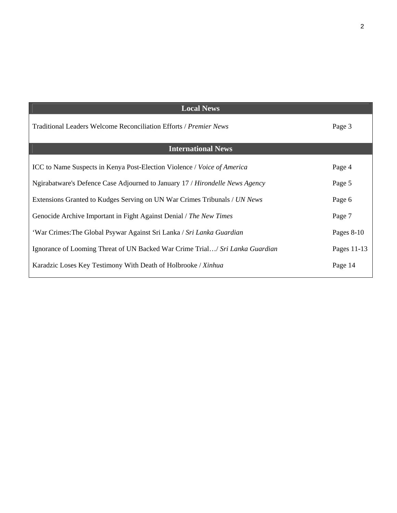| <b>Local News</b>                                                              |              |
|--------------------------------------------------------------------------------|--------------|
| Traditional Leaders Welcome Reconciliation Efforts / Premier News              | Page 3       |
| <b>International News</b>                                                      |              |
| <b>ICC</b> to Name Suspects in Kenya Post-Election Violence / Voice of America | Page 4       |
| Ngirabatware's Defence Case Adjourned to January 17 / Hirondelle News Agency   | Page 5       |
| Extensions Granted to Kudges Serving on UN War Crimes Tribunals / UN News      | Page 6       |
| Genocide Archive Important in Fight Against Denial / The New Times             | Page 7       |
| 'War Crimes: The Global Psywar Against Sri Lanka / Sri Lanka Guardian          | Pages $8-10$ |
| Ignorance of Looming Threat of UN Backed War Crime Trial/ Sri Lanka Guardian   | Pages 11-13  |
| Karadzic Loses Key Testimony With Death of Holbrooke / Xinhua                  | Page 14      |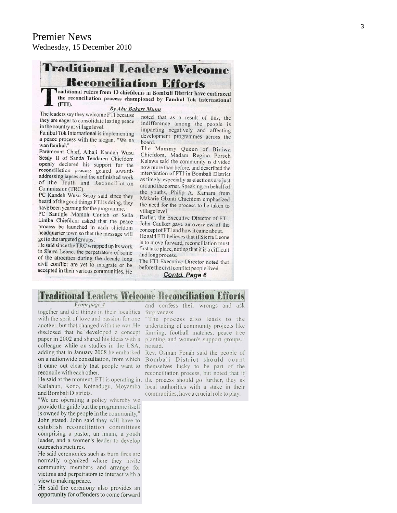## **Traditional Leaders Welcome Reconciliation Efforts**

Traditional rulers from 13 chiefdoms in Bombali District have embraced the reconciliation process championed by Fambul Tok International (FTI).

#### By Abu Bakarr Munu

The leaders say they welcome FTI because they are eager to consolidate lasting peace in the country at village level.

Fambul Tok International is implementing a peace process with the slogan, "We na wan fambul."

Paramount Chief, Alhaji Kandeh Wusu Sesay II of Sanda Tendaren Chiefdom openly declared his support for the reconciliation process geared towards addressing lapses and the unfinished work of the Truth and Reconciliation Commission (TRC).

PC Kandeh Wusu Sesay said since they heard of the good things FTI is doing, they have been yearning for the programme.

PC Santigie Momoh Conteh of Sella Limba Chiefdom asked that the peace process be launched in each chiefdom headquarter town so that the message will get to the targeted groups.

He said since the TRC wrapped up its work in Sierra Leone, the perpetrators of some of the atrocities during the decade long civil conflict are yet to integrate or be accepted in their various communities. He

noted that as a result of this, the indifference among the people is impacting negatively and affecting development programmes across the board.

The Mammy Queen of Biriwa Chiefdom, Madam Regina Porseh Kalawa said the community is divided now more than before, and described the intervention of FTI in Bombali District as timely, especially as elections are just around the corner. Speaking on behalf of the youths, Philip A. Kamara from Makarie Gbanti Chiefdom emphasized the need for the process to be taken to village level.

Earlier, the Executive Director of FTI, John Caulker gave an overview of the concept of FTI and how it came about.

He said FTI believes that if Sierra Leone is to move forward, reconciliation must first take place, noting that it is a difficult and long process.

The FTI Executive Director noted that before the civil conflict people lived Contd. Page 6

**Traditional Leaders Welcome Reconciliation Efforts** 

#### From page 4

together and did things in their localities forgiveness. with the sprit of love and passion for one another, but that changed with the war. He undertaking of community projects like disclosed that he developed a concept farming, football matches, peace tree paper in 2002 and shared his ideas with a colleague while on studies in the USA, adding that in January 2008 he embarked on a nationwide consultation, from which Bombali District should count it came out clearly that people want to reconcile with each other.

He said at the moment, FTI is operating in. Kailahun, Kono, Koinadugu, Moyamba and Bombali Districts.

"We are operating a policy whereby we provide the guide but the programme itself is owned by the people in the community,' John stated. John said they will have to establish reconciliation committees comprising a pastor, an imam, a youth leader, and a women's leader to develop outreach structures.

He said ceremonies such as burn fires are normally organized where they invite community members and arrange for victims and perpetrators to interact with a view to making peace.

He said the ceremony also provides an opportunity for offenders to come forward

and confess their wrongs and ask

"The process also leads to the planting and women's support groups," he said.

Rev. Osman Fonah said the people of themselves lucky to be part of the reconciliation process, but noted that if the process should go further, they as local authorities with a stake in their communities, have a crucial role to play.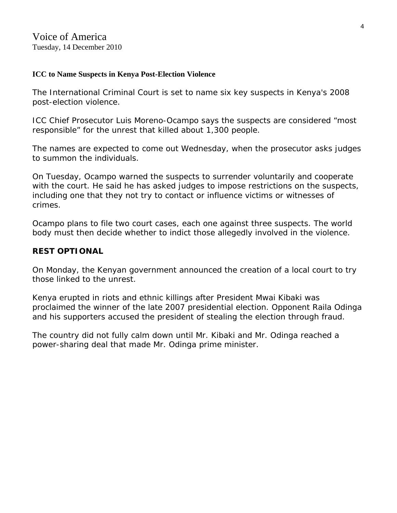## **[ICC to Name Suspects in Kenya Post-Election Violence](http://blogs.voanews.com/breaking-news/2010/12/14/icc-to-name-suspects-in-kenya-post-election-violence/)**

The International Criminal Court is set to name six key suspects in Kenya's 2008 post-election violence.

ICC Chief Prosecutor Luis Moreno-Ocampo says the suspects are considered "most responsible" for the unrest that killed about 1,300 people.

The names are expected to come out Wednesday, when the prosecutor asks judges to summon the individuals.

On Tuesday, Ocampo warned the suspects to surrender voluntarily and cooperate with the court. He said he has asked judges to impose restrictions on the suspects, including one that they not try to contact or influence victims or witnesses of crimes.

Ocampo plans to file two court cases, each one against three suspects. The world body must then decide whether to indict those allegedly involved in the violence.

## **REST OPTIONAL**

On Monday, the Kenyan government announced the creation of a local court to try those linked to the unrest.

Kenya erupted in riots and ethnic killings after President Mwai Kibaki was proclaimed the winner of the late 2007 presidential election. Opponent Raila Odinga and his supporters accused the president of stealing the election through fraud.

The country did not fully calm down until Mr. Kibaki and Mr. Odinga reached a power-sharing deal that made Mr. Odinga prime minister.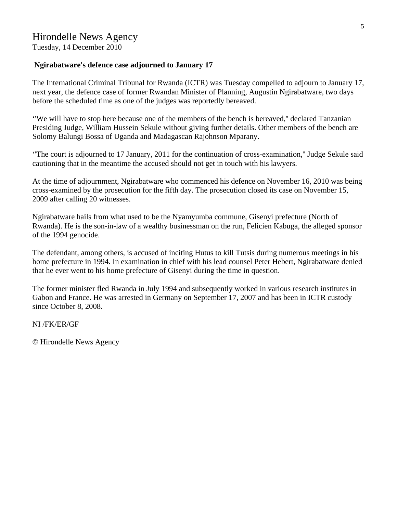Tuesday, 14 December 2010

## **Ngirabatware's defence case adjourned to January 17**

The International Criminal Tribunal for Rwanda (ICTR) was Tuesday compelled to adjourn to January 17, next year, the defence case of former Rwandan Minister of Planning, Augustin Ngirabatware, two days before the scheduled time as one of the judges was reportedly bereaved.

''We will have to stop here because one of the members of the bench is bereaved,'' declared Tanzanian Presiding Judge, William Hussein Sekule without giving further details. Other members of the bench are Solomy Balungi Bossa of Uganda and Madagascan Rajohnson Mparany.

''The court is adjourned to 17 January, 2011 for the continuation of cross-examination,'' Judge Sekule said cautioning that in the meantime the accused should not get in touch with his lawyers.

At the time of adjournment, Ngirabatware who commenced his defence on November 16, 2010 was being cross-examined by the prosecution for the fifth day. The prosecution closed its case on November 15, 2009 after calling 20 witnesses.

Ngirabatware hails from what used to be the Nyamyumba commune, Gisenyi prefecture (North of Rwanda). He is the son-in-law of a wealthy businessman on the run, Felicien Kabuga, the alleged sponsor of the 1994 genocide.

The defendant, among others, is accused of inciting Hutus to kill Tutsis during numerous meetings in his home prefecture in 1994. In examination in chief with his lead counsel Peter Hebert, Ngirabatware denied that he ever went to his home prefecture of Gisenyi during the time in question.

The former minister fled Rwanda in July 1994 and subsequently worked in various research institutes in Gabon and France. He was arrested in Germany on September 17, 2007 and has been in ICTR custody since October 8, 2008.

NI /FK/ER/GF

© Hirondelle News Agency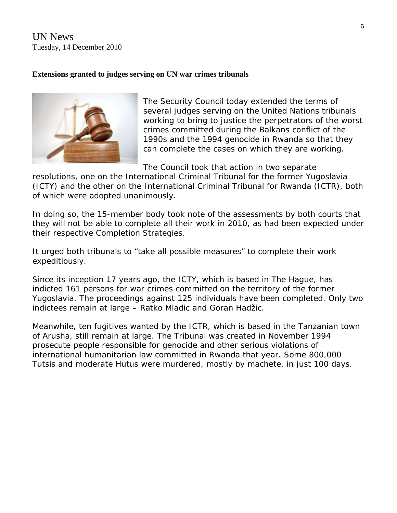UN News Tuesday, 14 December 2010

## **Extensions granted to judges serving on UN war crimes tribunals**



The Security Council today extended the terms of several judges serving on the United Nations tribunals working to bring to justice the perpetrators of the worst crimes committed during the Balkans conflict of the 1990s and the 1994 genocide in Rwanda so that they can complete the cases on which they are working.

The Council took that action in two separate

resolutions, one on the International Criminal Tribunal for the former Yugoslavia (ICTY) and the other on the International Criminal Tribunal for Rwanda (ICTR), both of which were adopted unanimously.

In doing so, the 15-member body took note of the assessments by both courts that they will not be able to complete all their work in 2010, as had been expected under their respective Completion Strategies.

It urged both tribunals to "take all possible measures" to complete their work expeditiously.

Since its inception 17 years ago, the ICTY, which is based in The Hague, has indicted 161 persons for war crimes committed on the territory of the former Yugoslavia. The proceedings against 125 individuals have been completed. Only two indictees remain at large – Ratko Mladic and Goran Hadžic.

Meanwhile, ten fugitives wanted by the ICTR, which is based in the Tanzanian town of Arusha, still remain at large. The Tribunal was created in November 1994 prosecute people responsible for genocide and other serious violations of international humanitarian law committed in Rwanda that year. Some 800,000 Tutsis and moderate Hutus were murdered, mostly by machete, in just 100 days.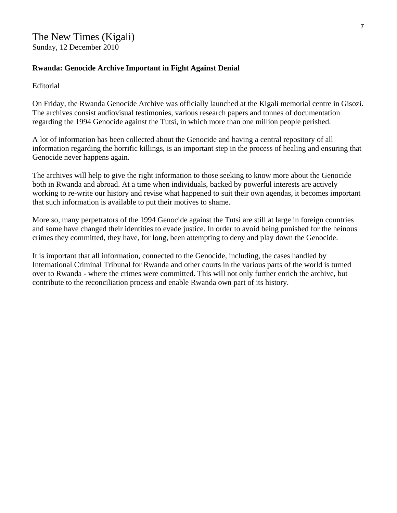## **Rwanda: Genocide Archive Important in Fight Against Denial**

Editorial

On Friday, the Rwanda Genocide Archive was officially launched at the Kigali memorial centre in Gisozi. The archives consist audiovisual testimonies, various research papers and tonnes of documentation regarding the 1994 Genocide against the Tutsi, in which more than one million people perished.

A lot of information has been collected about the Genocide and having a central repository of all information regarding the horrific killings, is an important step in the process of healing and ensuring that Genocide never happens again.

The archives will help to give the right information to those seeking to know more about the Genocide both in Rwanda and abroad. At a time when individuals, backed by powerful interests are actively working to re-write our history and revise what happened to suit their own agendas, it becomes important that such information is available to put their motives to shame.

More so, many perpetrators of the 1994 Genocide against the Tutsi are still at large in foreign countries and some have changed their identities to evade justice. In order to avoid being punished for the heinous crimes they committed, they have, for long, been attempting to deny and play down the Genocide.

It is important that all information, connected to the Genocide, including, the cases handled by International Criminal Tribunal for Rwanda and other courts in the various parts of the world is turned over to Rwanda - where the crimes were committed. This will not only further enrich the archive, but contribute to the reconciliation process and enable Rwanda own part of its history.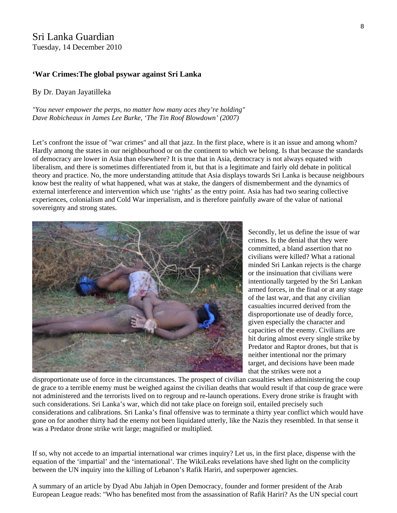## Sri Lanka Guardian Tuesday, 14 December 2010

#### **'War Crimes:The global psywar against Sri Lanka**

#### By Dr. Dayan Jayatilleka

*"You never empower the perps, no matter how many aces they're holding" Dave Robicheaux in James Lee Burke, 'The Tin Roof Blowdown' (2007)*

Let's confront the issue of "war crimes" and all that jazz. In the first place, where is it an issue and among whom? Hardly among the states in our neighbourhood or on the continent to which we belong. Is that because the standards of democracy are lower in Asia than elsewhere? It is true that in Asia, democracy is not always equated with liberalism, and there is sometimes differentiated from it, but that is a legitimate and fairly old debate in political theory and practice. No, the more understanding attitude that Asia displays towards Sri Lanka is because neighbours know best the reality of what happened, what was at stake, the dangers of dismemberment and the dynamics of external interference and intervention which use 'rights' as the entry point. Asia has had two searing collective experiences, colonialism and Cold War imperialism, and is therefore painfully aware of the value of national sovereignty and strong states.



Secondly, let us define the issue of war crimes. Is the denial that they were committed, a bland assertion that no civilians were killed? What a rational minded Sri Lankan rejects is the charge or the insinuation that civilians were intentionally targeted by the Sri Lankan armed forces, in the final or at any stage of the last war, and that any civilian casualties incurred derived from the disproportionate use of deadly force, given especially the character and capacities of the enemy. Civilians are hit during almost every single strike by Predator and Raptor drones, but that is neither intentional nor the primary target, and decisions have been made that the strikes were not a

disproportionate use of force in the circumstances. The prospect of civilian casualties when administering the coup de grace to a terrible enemy must be weighed against the civilian deaths that would result if that coup de grace were not administered and the terrorists lived on to regroup and re-launch operations. Every drone strike is fraught with such considerations. Sri Lanka's war, which did not take place on foreign soil, entailed precisely such considerations and calibrations. Sri Lanka's final offensive was to terminate a thirty year conflict which would have gone on for another thirty had the enemy not been liquidated utterly, like the Nazis they resembled. In that sense it was a Predator drone strike writ large; magnified or multiplied.

If so, why not accede to an impartial international war crimes inquiry? Let us, in the first place, dispense with the equation of the 'impartial' and the 'international'. The WikiLeaks revelations have shed light on the complicity between the UN inquiry into the killing of Lebanon's Rafik Hariri, and superpower agencies.

A summary of an article by Dyad Abu Jahjah in Open Democracy, founder and former president of the Arab European League reads: "Who has benefited most from the assassination of Rafik Hariri? As the UN special court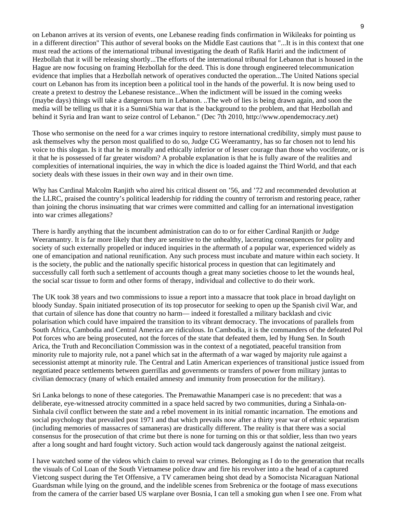on Lebanon arrives at its version of events, one Lebanese reading finds confirmation in Wikileaks for pointing us in a different direction" This author of several books on the Middle East cautions that "...It is in this context that one must read the actions of the international tribunal investigating the death of Rafik Hariri and the indictment of Hezbollah that it will be releasing shortly...The efforts of the international tribunal for Lebanon that is housed in the Hague are now focusing on framing Hezbollah for the deed. This is done through engineered telecommunication evidence that implies that a Hezbollah network of operatives conducted the operation...The United Nations special court on Lebanon has from its inception been a political tool in the hands of the powerful. It is now being used to create a pretext to destroy the Lebanese resistance...When the indictment will be issued in the coming weeks (maybe days) things will take a dangerous turn in Lebanon. ..The web of lies is being drawn again, and soon the media will be telling us that it is a Sunni/Shia war that is the background to the problem, and that Hezbollah and behind it Syria and Iran want to seize control of Lebanon." (Dec 7th 2010, http://www.opendemocracy.net)

Those who sermonise on the need for a war crimes inquiry to restore international credibility, simply must pause to ask themselves why the person most qualified to do so, Judge CG Weeramantry, has so far chosen not to lend his voice to this slogan. Is it that he is morally and ethically inferior or of lesser courage than those who vociferate, or is it that he is possessed of far greater wisdom? A probable explanation is that he is fully aware of the realities and complexities of international inquiries, the way in which the dice is loaded against the Third World, and that each society deals with these issues in their own way and in their own time.

Why has Cardinal Malcolm Ranjith who aired his critical dissent on '56, and '72 and recommended devolution at the LLRC, praised the country's political leadership for ridding the country of terrorism and restoring peace, rather than joining the chorus insinuating that war crimes were committed and calling for an international investigation into war crimes allegations?

There is hardly anything that the incumbent administration can do to or for either Cardinal Ranjith or Judge Weeramantry. It is far more likely that they are sensitive to the unhealthy, lacerating consequences for polity and society of such externally propelled or induced inquiries in the aftermath of a popular war, experienced widely as one of emancipation and national reunification. Any such process must incubate and mature within each society. It is the society, the public and the nationally specific historical process in question that can legitimately and successfully call forth such a settlement of accounts though a great many societies choose to let the wounds heal, the social scar tissue to form and other forms of therapy, individual and collective to do their work.

The UK took 38 years and two commissions to issue a report into a massacre that took place in broad daylight on bloody Sunday. Spain initiated prosecution of its top prosecutor for seeking to open up the Spanish civil War, and that curtain of silence has done that country no harm— indeed it forestalled a military backlash and civic polarisation which could have impaired the transition to its vibrant democracy. The invocations of parallels from South Africa, Cambodia and Central America are ridiculous. In Cambodia, it is the commanders of the defeated Pol Pot forces who are being prosecuted, not the forces of the state that defeated them, led by Hung Sen. In South Arica, the Truth and Reconciliation Commission was in the context of a negotiated, peaceful transition from minority rule to majority rule, not a panel which sat in the aftermath of a war waged by majority rule against a secessionist attempt at minority rule. The Central and Latin American experiences of transitional justice issued from negotiated peace settlements between guerrillas and governments or transfers of power from military juntas to civilian democracy (many of which entailed amnesty and immunity from prosecution for the military).

Sri Lanka belongs to none of these categories. The Premawathie Manamperi case is no precedent: that was a deliberate, eye-witnessed atrocity committed in a space held sacred by two communities, during a Sinhala-on-Sinhala civil conflict between the state and a rebel movement in its initial romantic incarnation. The emotions and social psychology that prevailed post 1971 and that which prevails now after a thirty year war of ethnic separatism (including memories of massacres of samaneras) are drastically different. The reality is that there was a social consensus for the prosecution of that crime but there is none for turning on this or that soldier, less than two years after a long sought and hard fought victory. Such action would tack dangerously against the national zeitgeist.

I have watched some of the videos which claim to reveal war crimes. Belonging as I do to the generation that recalls the visuals of Col Loan of the South Vietnamese police draw and fire his revolver into a the head of a captured Vietcong suspect during the Tet Offensive, a TV cameramen being shot dead by a Somocista Nicaraguan National Guardsman while lying on the ground, and the indelible scenes from Srebrenica or the footage of mass executions from the camera of the carrier based US warplane over Bosnia, I can tell a smoking gun when I see one. From what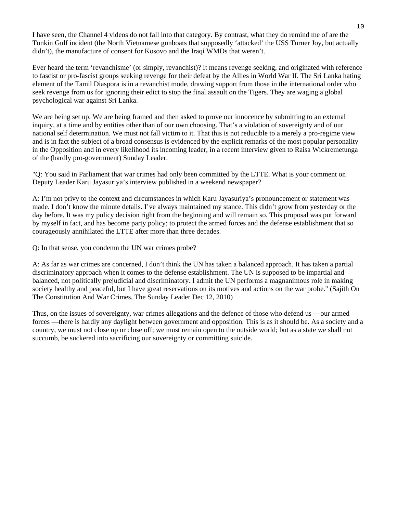I have seen, the Channel 4 videos do not fall into that category. By contrast, what they do remind me of are the Tonkin Gulf incident (the North Vietnamese gunboats that supposedly 'attacked' the USS Turner Joy, but actually didn't), the manufacture of consent for Kosovo and the Iraqi WMDs that weren't.

Ever heard the term 'revanchisme' (or simply, revanchist)? It means revenge seeking, and originated with reference to fascist or pro-fascist groups seeking revenge for their defeat by the Allies in World War II. The Sri Lanka hating element of the Tamil Diaspora is in a revanchist mode, drawing support from those in the international order who seek revenge from us for ignoring their edict to stop the final assault on the Tigers. They are waging a global psychological war against Sri Lanka.

We are being set up. We are being framed and then asked to prove our innocence by submitting to an external inquiry, at a time and by entities other than of our own choosing. That's a violation of sovereignty and of our national self determination. We must not fall victim to it. That this is not reducible to a merely a pro-regime view and is in fact the subject of a broad consensus is evidenced by the explicit remarks of the most popular personality in the Opposition and in every likelihood its incoming leader, in a recent interview given to Raisa Wickremetunga of the (hardly pro-government) Sunday Leader.

"Q: You said in Parliament that war crimes had only been committed by the LTTE. What is your comment on Deputy Leader Karu Jayasuriya's interview published in a weekend newspaper?

A: I'm not privy to the context and circumstances in which Karu Jayasuriya's pronouncement or statement was made. I don't know the minute details. I've always maintained my stance. This didn't grow from yesterday or the day before. It was my policy decision right from the beginning and will remain so. This proposal was put forward by myself in fact, and has become party policy; to protect the armed forces and the defense establishment that so courageously annihilated the LTTE after more than three decades.

Q: In that sense, you condemn the UN war crimes probe?

A: As far as war crimes are concerned, I don't think the UN has taken a balanced approach. It has taken a partial discriminatory approach when it comes to the defense establishment. The UN is supposed to be impartial and balanced, not politically prejudicial and discriminatory. I admit the UN performs a magnanimous role in making society healthy and peaceful, but I have great reservations on its motives and actions on the war probe." (Sajith On The Constitution And War Crimes, The Sunday Leader Dec 12, 2010)

Thus, on the issues of sovereignty, war crimes allegations and the defence of those who defend us —our armed forces —there is hardly any daylight between government and opposition. This is as it should be. As a society and a country, we must not close up or close off; we must remain open to the outside world; but as a state we shall not succumb, be suckered into sacrificing our sovereignty or committing suicide.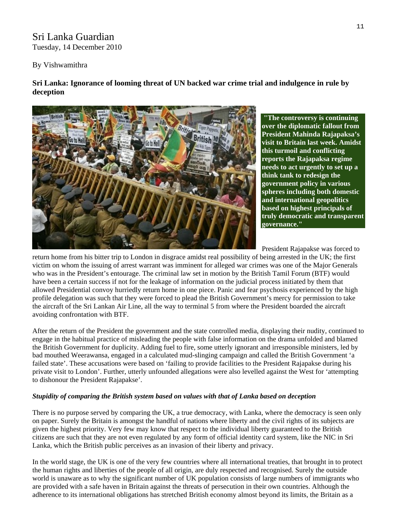## Sri Lanka Guardian Tuesday, 14 December 2010

#### By Vishwamithra

**Sri Lanka: Ignorance of looming threat of UN backed war crime trial and indulgence in rule by deception** 



 **"The controversy is continuing over the diplomatic fallout from President Mahinda Rajapaksa's visit to Britain last week. Amidst this turmoil and conflicting reports the Rajapaksa regime needs to act urgently to set up a think tank to redesign the government policy in various spheres including both domestic and international geopolitics based on highest principals of truly democratic and transparent governance."**

President Rajapakse was forced to

return home from his bitter trip to London in disgrace amidst real possibility of being arrested in the UK; the first victim on whom the issuing of arrest warrant was imminent for alleged war crimes was one of the Major Generals who was in the President's entourage. The criminal law set in motion by the British Tamil Forum (BTF) would have been a certain success if not for the leakage of information on the judicial process initiated by them that allowed Presidential convoy hurriedly return home in one piece. Panic and fear psychosis experienced by the high profile delegation was such that they were forced to plead the British Government's mercy for permission to take the aircraft of the Sri Lankan Air Line, all the way to terminal 5 from where the President boarded the aircraft avoiding confrontation with BTF.

After the return of the President the government and the state controlled media, displaying their nudity, continued to engage in the habitual practice of misleading the people with false information on the drama unfolded and blamed the British Government for duplicity. Adding fuel to fire, some utterly ignorant and irresponsible ministers, led by bad mouthed Weerawansa, engaged in a calculated mud-slinging campaign and called the British Government 'a failed state'. These accusations were based on 'failing to provide facilities to the President Rajapakse during his private visit to London'. Further, utterly unfounded allegations were also levelled against the West for 'attempting to dishonour the President Rajapakse'.

#### *Stupidity of comparing the British system based on values with that of Lanka based on deception*

There is no purpose served by comparing the UK, a true democracy, with Lanka, where the democracy is seen only on paper. Surely the Britain is amongst the handful of nations where liberty and the civil rights of its subjects are given the highest priority. Very few may know that respect to the individual liberty guaranteed to the British citizens are such that they are not even regulated by any form of official identity card system, like the NIC in Sri Lanka, which the British public perceives as an invasion of their liberty and privacy.

In the world stage, the UK is one of the very few countries where all international treaties, that brought in to protect the human rights and liberties of the people of all origin, are duly respected and recognised. Surely the outside world is unaware as to why the significant number of UK population consists of large numbers of immigrants who are provided with a safe haven in Britain against the threats of persecution in their own countries. Although the adherence to its international obligations has stretched British economy almost beyond its limits, the Britain as a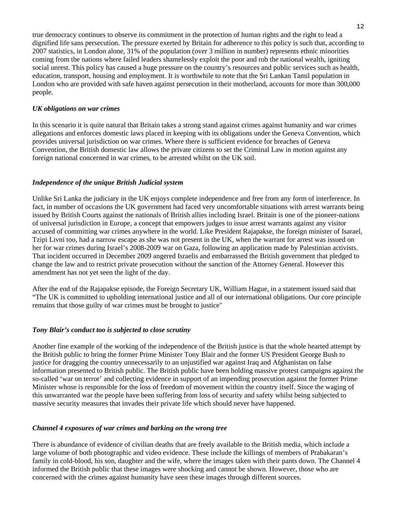true democracy continues to observe its commitment in the protection of human rights and the right to lead a dignified life sans persecution. The pressure exerted by Britain for adherence to this policy is such that, according to 2007 statistics, in London alone, 31% of the population (over 3 million in number) represents ethnic minorities coming from the nations where failed leaders shamelessly exploit the poor and rob the national wealth, igniting social unrest. This policy has caused a huge pressure on the country's resources and public services such as health, education, transport, housing and employment. It is worthwhile to note that the Sri Lankan Tamil population in London who are provided with safe haven against persecution in their motherland, accounts for more than 300,000 people.

#### *UK obligations on war crimes*

In this scenario it is quite natural that Britain takes a strong stand against crimes against humanity and war crimes allegations and enforces domestic laws placed in keeping with its obligations under the Geneva Convention, which provides universal jurisdiction on war crimes. Where there is sufficient evidence for breaches of Geneva Convention, the British domestic law allows the private citizens to set the Criminal Law in motion against any foreign national concerned in war crimes, to be arrested whilst on the UK soil.

#### *Independence of the unique British Judicial system*

Unlike Sri Lanka the judiciary in the UK enjoys complete independence and free from any form of interference. In fact, in number of occasions the UK government had faced very uncomfortable situations with arrest warrants being issued by British Courts against the nationals of British allies including Israel. Britain is one of the pioneer-nations of universal jurisdiction in Europe, a concept that empowers judges to issue arrest warrants against any visitor accused of committing war crimes anywhere in the world. Like President Rajapakse, the foreign minister of Isarael, Tzipi Livni too, had a narrow escape as she was not present in the UK, when the warrant for arrest was issued on her for war crimes during Israel's 2008-2009 war on Gaza, following an application made by Palestinian activists. That incident occurred in December 2009 angered Israelis and embarrassed the British government that pledged to change the law and to restrict private prosecution without the sanction of the Attorney General. However this amendment has not yet seen the light of the day.

After the end of the Rajapakse episode, the Foreign Secretary UK, William Hague, in a statement issued said that "The UK is committed to upholding international justice and all of our international obligations. Our core principle remains that those guilty of war crimes must be brought to justice"

#### *Tony Blair's conduct too is subjected to close scrutiny*

Another fine example of the working of the independence of the British justice is that the whole hearted attempt by the British public to bring the former Prime Minister Tony Blair and the former US President George Bush to justice for dragging the country unnecessarily to an unjustified war against Iraq and Afghanistan on false information presented to British public. The British public have been holding massive protest campaigns against the so-called 'war on terror' and collecting evidence in support of an impending prosecution against the former Prime Minister whose is responsible for the loss of freedom of movement within the country itself. Since the waging of this unwarranted war the people have been suffering from loss of security and safety whilst being subjected to massive security measures that invades their private life which should never have happened.

#### *Channel 4 exposures of war crimes and barking on the wrong tree*

There is abundance of evidence of civilian deaths that are freely available to the British media, which include a large volume of both photographic and video evidence. These include the killings of members of Prabakaran's family in cold-blood, his son, daughter and the wife, where the images taken with their pants down. The Channel 4 informed the British public that these images were shocking and cannot be shown. However, those who are concerned with the crimes against humanity have seen these images through different sources.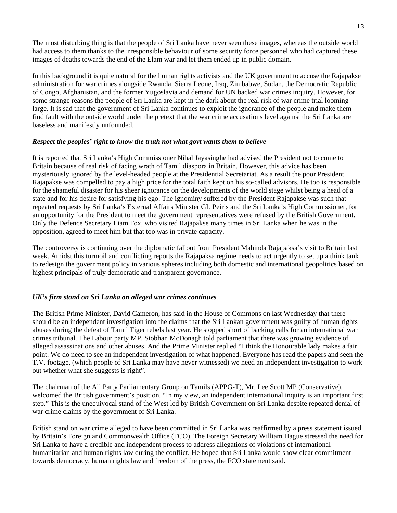The most disturbing thing is that the people of Sri Lanka have never seen these images, whereas the outside world had access to them thanks to the irresponsible behaviour of some security force personnel who had captured these images of deaths towards the end of the Elam war and let them ended up in public domain.

In this background it is quite natural for the human rights activists and the UK government to accuse the Rajapakse administration for war crimes alongside Rwanda, Sierra Leone, Iraq, Zimbabwe, Sudan, the Democratic Republic of Congo, Afghanistan, and the former Yugoslavia and demand for UN backed war crimes inquiry. However, for some strange reasons the people of Sri Lanka are kept in the dark about the real risk of war crime trial looming large. It is sad that the government of Sri Lanka continues to exploit the ignorance of the people and make them find fault with the outside world under the pretext that the war crime accusations level against the Sri Lanka are baseless and manifestly unfounded.

#### *Respect the peoples' right to know the truth not what govt wants them to believe*

It is reported that Sri Lanka's High Commissioner Nihal Jayasinghe had advised the President not to come to Britain because of real risk of facing wrath of Tamil diaspora in Britain. However, this advice has been mysteriously ignored by the level-headed people at the Presidential Secretariat. As a result the poor President Rajapakse was compelled to pay a high price for the total faith kept on his so-called advisors. He too is responsible for the shameful disaster for his sheer ignorance on the developments of the world stage whilst being a head of a state and for his desire for satisfying his ego. The ignominy suffered by the President Rajapakse was such that repeated requests by Sri Lanka's External Affairs Minister GL Peiris and the Sri Lanka's High Commissioner, for an opportunity for the President to meet the government representatives were refused by the British Government. Only the Defence Secretary Liam Fox, who visited Rajapakse many times in Sri Lanka when he was in the opposition, agreed to meet him but that too was in private capacity.

The controversy is continuing over the diplomatic fallout from President Mahinda Rajapaksa's visit to Britain last week. Amidst this turmoil and conflicting reports the Rajapaksa regime needs to act urgently to set up a think tank to redesign the government policy in various spheres including both domestic and international geopolitics based on highest principals of truly democratic and transparent governance.

#### *UK's firm stand on Sri Lanka on alleged war crimes continues*

The British Prime Minister, David Cameron, has said in the House of Commons on last Wednesday that there should be an independent investigation into the claims that the Sri Lankan government was guilty of human rights abuses during the defeat of Tamil Tiger rebels last year. He stopped short of backing calls for an international war crimes tribunal. The Labour party MP, Siobhan McDonagh told parliament that there was growing evidence of alleged assassinations and other abuses. And the Prime Minister replied "I think the Honourable lady makes a fair point. We do need to see an independent investigation of what happened. Everyone has read the papers and seen the T.V. footage, (which people of Sri Lanka may have never witnessed) we need an independent investigation to work out whether what she suggests is right".

The chairman of the All Party Parliamentary Group on Tamils (APPG-T), Mr. Lee Scott MP (Conservative), welcomed the British government's position. "In my view, an independent international inquiry is an important first step." This is the unequivocal stand of the West led by British Government on Sri Lanka despite repeated denial of war crime claims by the government of Sri Lanka.

British stand on war crime alleged to have been committed in Sri Lanka was reaffirmed by a press statement issued by Britain's Foreign and Commonwealth Office (FCO). The Foreign Secretary William Hague stressed the need for Sri Lanka to have a credible and independent process to address allegations of violations of international humanitarian and human rights law during the conflict. He hoped that Sri Lanka would show clear commitment towards democracy, human rights law and freedom of the press, the FCO statement said.